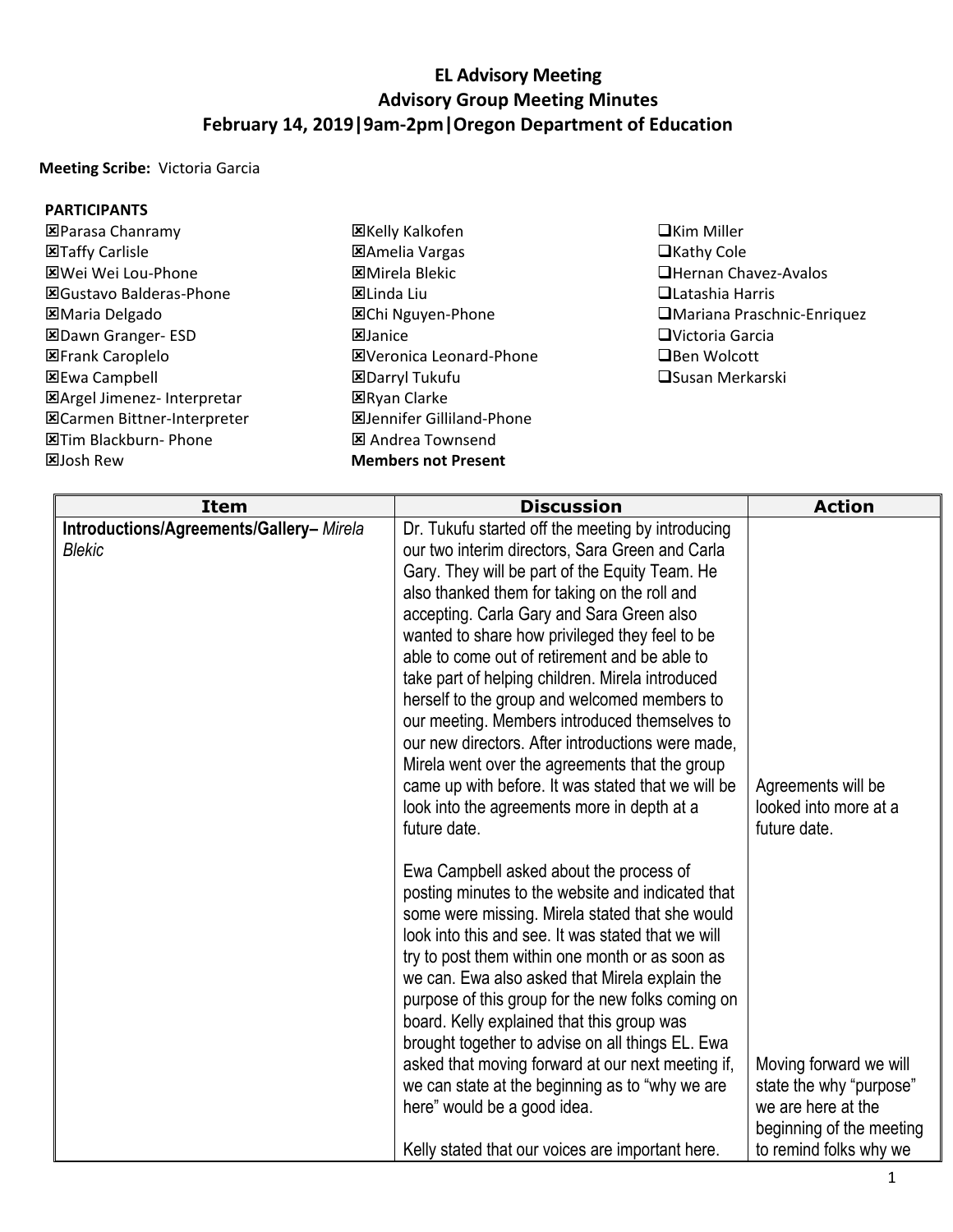## **EL Advisory Meeting Advisory Group Meeting Minutes February 14, 2019|9am-2pm|Oregon Department of Education**

**Meeting Scribe:** Victoria Garcia

## **PARTICIPANTS**

- Parasa Chanramy **図Taffy Carlisle** Wei Wei Lou-Phone Gustavo Balderas-Phone Maria Delgado Dawn Granger- ESD **EFrank Caroplelo** 区Ewa Campbell Argel Jimenez- Interpretar Carmen Bittner-Interpreter **E**Tim Blackburn- Phone **図Josh Rew**
- 区Kelly Kalkofen Amelia Vargas Mirela Blekic 区Linda Liu 区Chi Nguyen-Phone **E**Janice Veronica Leonard-Phone Darryl Tukufu **ERyan Clarke** Jennifer Gilliland-Phone Andrea Townsend **Members not Present**
- ■Kim Miller  $\Box$ Kathy Cole Hernan Chavez-Avalos Latashia Harris Mariana Praschnic-Enriquez Victoria Garcia **□Ben Wolcott □Susan Merkarski**

| <b>Item</b>                                              | <b>Discussion</b>                                                                                                                                                                                                                                                                                                                                                                                                                                                                                                                                                                                                                                                                                                                       | <b>Action</b>                                                                                                                 |
|----------------------------------------------------------|-----------------------------------------------------------------------------------------------------------------------------------------------------------------------------------------------------------------------------------------------------------------------------------------------------------------------------------------------------------------------------------------------------------------------------------------------------------------------------------------------------------------------------------------------------------------------------------------------------------------------------------------------------------------------------------------------------------------------------------------|-------------------------------------------------------------------------------------------------------------------------------|
| Introductions/Agreements/Gallery-Mirela<br><b>Blekic</b> | Dr. Tukufu started off the meeting by introducing<br>our two interim directors, Sara Green and Carla<br>Gary. They will be part of the Equity Team. He<br>also thanked them for taking on the roll and<br>accepting. Carla Gary and Sara Green also<br>wanted to share how privileged they feel to be<br>able to come out of retirement and be able to<br>take part of helping children. Mirela introduced<br>herself to the group and welcomed members to<br>our meeting. Members introduced themselves to<br>our new directors. After introductions were made.<br>Mirela went over the agreements that the group<br>came up with before. It was stated that we will be<br>look into the agreements more in depth at a<br>future date. | Agreements will be<br>looked into more at a<br>future date.                                                                   |
|                                                          | Ewa Campbell asked about the process of<br>posting minutes to the website and indicated that<br>some were missing. Mirela stated that she would<br>look into this and see. It was stated that we will<br>try to post them within one month or as soon as<br>we can. Ewa also asked that Mirela explain the<br>purpose of this group for the new folks coming on<br>board. Kelly explained that this group was<br>brought together to advise on all things EL. Ewa<br>asked that moving forward at our next meeting if,<br>we can state at the beginning as to "why we are<br>here" would be a good idea.<br>Kelly stated that our voices are important here.                                                                            | Moving forward we will<br>state the why "purpose"<br>we are here at the<br>beginning of the meeting<br>to remind folks why we |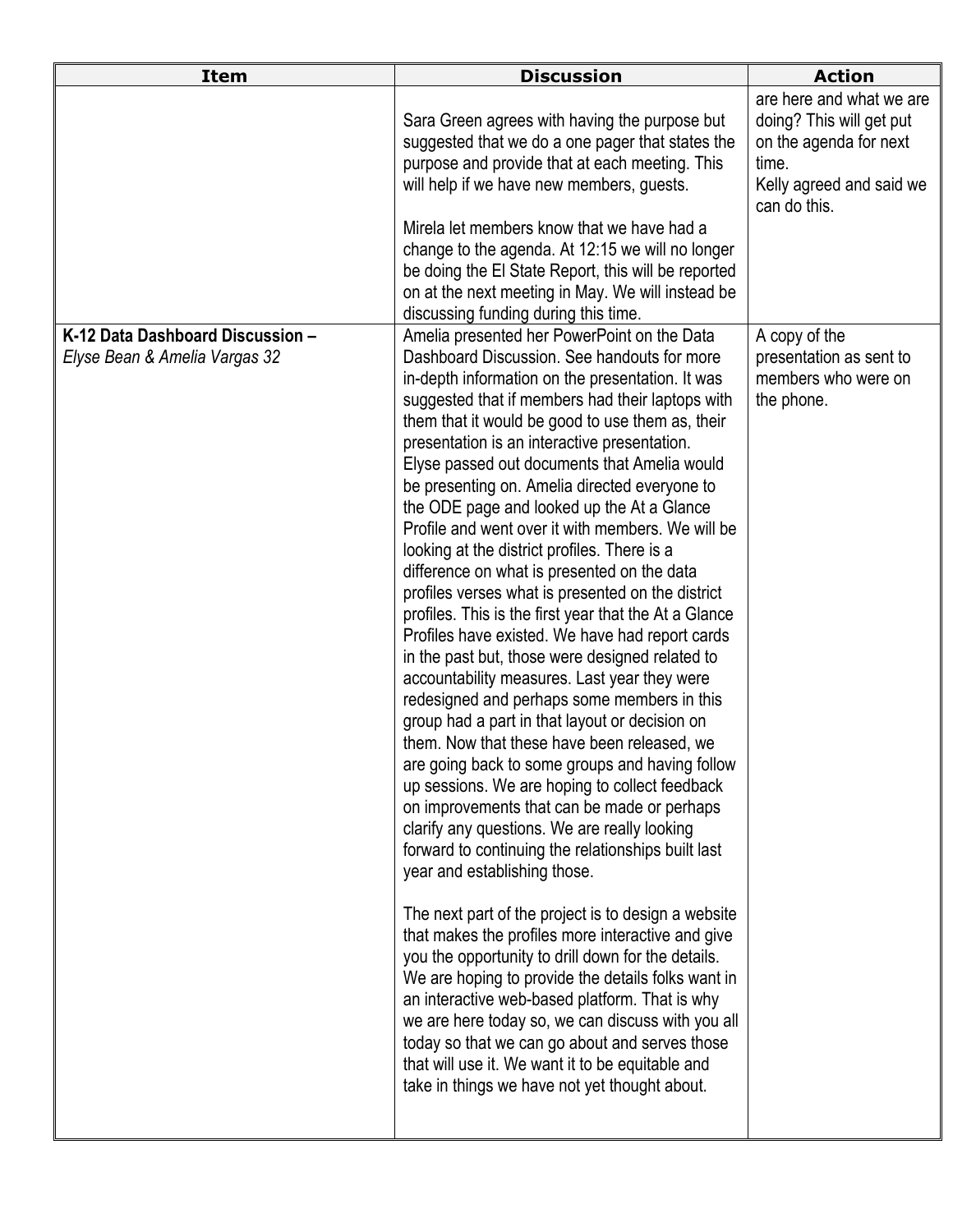|                                                                   | Sara Green agrees with having the purpose but<br>suggested that we do a one pager that states the<br>purpose and provide that at each meeting. This<br>will help if we have new members, guests.<br>Mirela let members know that we have had a<br>change to the agenda. At 12:15 we will no longer<br>be doing the El State Report, this will be reported                                                                                                                                                                                                                                                                                                                                                                                                                                                                                                                                                                                                                                                                                                                                                                                                                                                                                                                                                                                                                                                                                                                                                                                                                                                                                                                                                                                                                                                                                             | are here and what we are<br>doing? This will get put<br>on the agenda for next<br>time.<br>Kelly agreed and said we<br>can do this. |
|-------------------------------------------------------------------|-------------------------------------------------------------------------------------------------------------------------------------------------------------------------------------------------------------------------------------------------------------------------------------------------------------------------------------------------------------------------------------------------------------------------------------------------------------------------------------------------------------------------------------------------------------------------------------------------------------------------------------------------------------------------------------------------------------------------------------------------------------------------------------------------------------------------------------------------------------------------------------------------------------------------------------------------------------------------------------------------------------------------------------------------------------------------------------------------------------------------------------------------------------------------------------------------------------------------------------------------------------------------------------------------------------------------------------------------------------------------------------------------------------------------------------------------------------------------------------------------------------------------------------------------------------------------------------------------------------------------------------------------------------------------------------------------------------------------------------------------------------------------------------------------------------------------------------------------------|-------------------------------------------------------------------------------------------------------------------------------------|
|                                                                   | on at the next meeting in May. We will instead be                                                                                                                                                                                                                                                                                                                                                                                                                                                                                                                                                                                                                                                                                                                                                                                                                                                                                                                                                                                                                                                                                                                                                                                                                                                                                                                                                                                                                                                                                                                                                                                                                                                                                                                                                                                                     |                                                                                                                                     |
| K-12 Data Dashboard Discussion -<br>Elyse Bean & Amelia Vargas 32 | discussing funding during this time.<br>Amelia presented her PowerPoint on the Data<br>Dashboard Discussion. See handouts for more<br>in-depth information on the presentation. It was<br>suggested that if members had their laptops with<br>them that it would be good to use them as, their<br>presentation is an interactive presentation.<br>Elyse passed out documents that Amelia would<br>be presenting on. Amelia directed everyone to<br>the ODE page and looked up the At a Glance<br>Profile and went over it with members. We will be<br>looking at the district profiles. There is a<br>difference on what is presented on the data<br>profiles verses what is presented on the district<br>profiles. This is the first year that the At a Glance<br>Profiles have existed. We have had report cards<br>in the past but, those were designed related to<br>accountability measures. Last year they were<br>redesigned and perhaps some members in this<br>group had a part in that layout or decision on<br>them. Now that these have been released, we<br>are going back to some groups and having follow<br>up sessions. We are hoping to collect feedback<br>on improvements that can be made or perhaps<br>clarify any questions. We are really looking<br>forward to continuing the relationships built last<br>year and establishing those.<br>The next part of the project is to design a website<br>that makes the profiles more interactive and give<br>you the opportunity to drill down for the details.<br>We are hoping to provide the details folks want in<br>an interactive web-based platform. That is why<br>we are here today so, we can discuss with you all<br>today so that we can go about and serves those<br>that will use it. We want it to be equitable and<br>take in things we have not yet thought about. | A copy of the<br>presentation as sent to<br>members who were on<br>the phone.                                                       |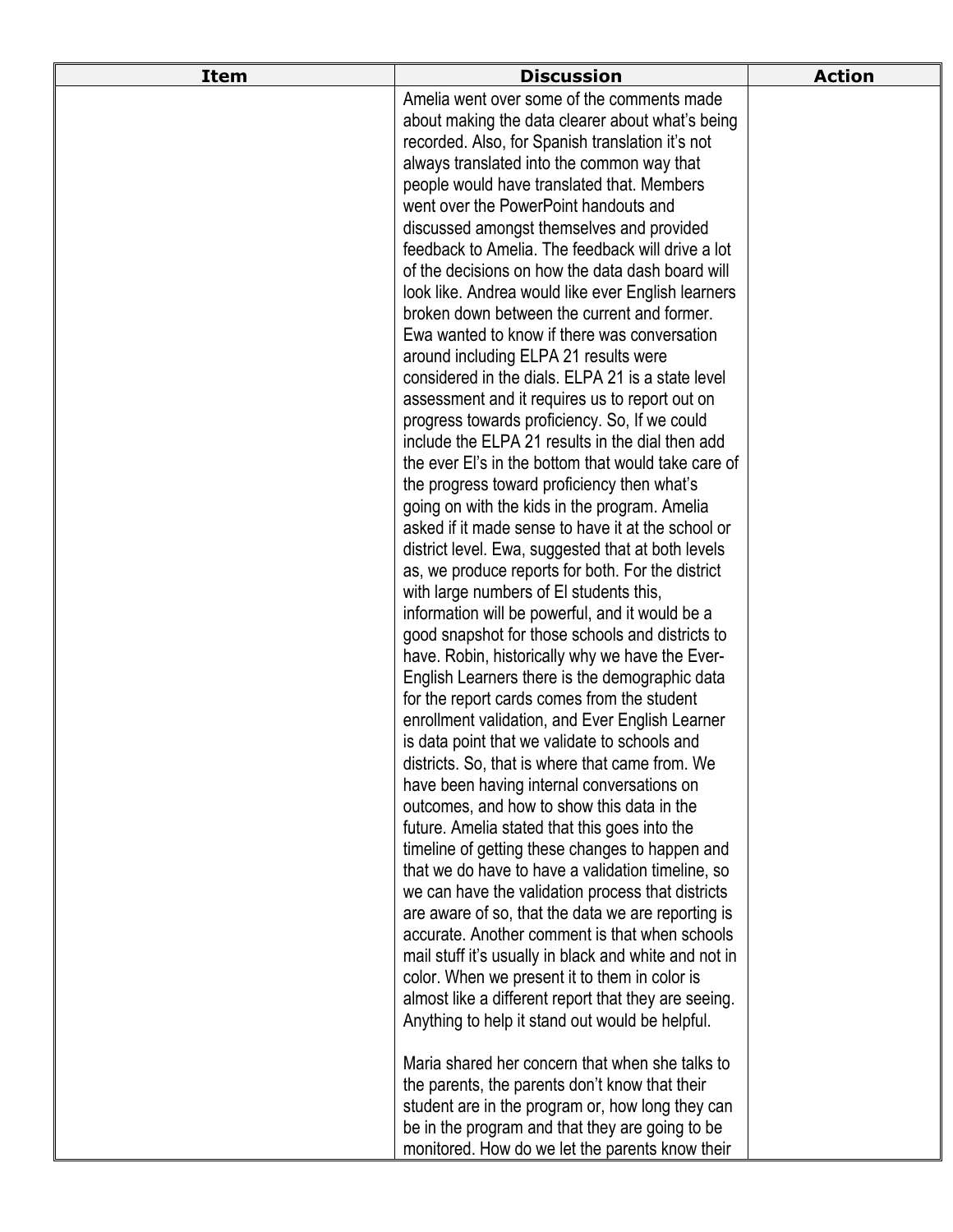| <b>Item</b> | <b>Discussion</b>                                                                                   | <b>Action</b> |
|-------------|-----------------------------------------------------------------------------------------------------|---------------|
|             | Amelia went over some of the comments made                                                          |               |
|             | about making the data clearer about what's being                                                    |               |
|             | recorded. Also, for Spanish translation it's not                                                    |               |
|             | always translated into the common way that                                                          |               |
|             | people would have translated that. Members                                                          |               |
|             | went over the PowerPoint handouts and                                                               |               |
|             | discussed amongst themselves and provided                                                           |               |
|             | feedback to Amelia. The feedback will drive a lot                                                   |               |
|             | of the decisions on how the data dash board will                                                    |               |
|             | look like. Andrea would like ever English learners                                                  |               |
|             | broken down between the current and former.                                                         |               |
|             | Ewa wanted to know if there was conversation                                                        |               |
|             | around including ELPA 21 results were                                                               |               |
|             | considered in the dials. ELPA 21 is a state level                                                   |               |
|             | assessment and it requires us to report out on                                                      |               |
|             | progress towards proficiency. So, If we could                                                       |               |
|             | include the ELPA 21 results in the dial then add                                                    |               |
|             | the ever El's in the bottom that would take care of                                                 |               |
|             | the progress toward proficiency then what's                                                         |               |
|             | going on with the kids in the program. Amelia<br>asked if it made sense to have it at the school or |               |
|             | district level. Ewa, suggested that at both levels                                                  |               |
|             | as, we produce reports for both. For the district                                                   |               |
|             | with large numbers of El students this,                                                             |               |
|             | information will be powerful, and it would be a                                                     |               |
|             | good snapshot for those schools and districts to                                                    |               |
|             | have. Robin, historically why we have the Ever-                                                     |               |
|             | English Learners there is the demographic data                                                      |               |
|             | for the report cards comes from the student                                                         |               |
|             | enrollment validation, and Ever English Learner                                                     |               |
|             | is data point that we validate to schools and                                                       |               |
|             | districts. So, that is where that came from. We                                                     |               |
|             | have been having internal conversations on                                                          |               |
|             | outcomes, and how to show this data in the                                                          |               |
|             | future. Amelia stated that this goes into the                                                       |               |
|             | timeline of getting these changes to happen and                                                     |               |
|             | that we do have to have a validation timeline, so                                                   |               |
|             | we can have the validation process that districts                                                   |               |
|             | are aware of so, that the data we are reporting is                                                  |               |
|             | accurate. Another comment is that when schools                                                      |               |
|             | mail stuff it's usually in black and white and not in                                               |               |
|             | color. When we present it to them in color is                                                       |               |
|             | almost like a different report that they are seeing.                                                |               |
|             | Anything to help it stand out would be helpful.                                                     |               |
|             | Maria shared her concern that when she talks to                                                     |               |
|             | the parents, the parents don't know that their                                                      |               |
|             | student are in the program or, how long they can                                                    |               |
|             | be in the program and that they are going to be                                                     |               |
|             | monitored. How do we let the parents know their                                                     |               |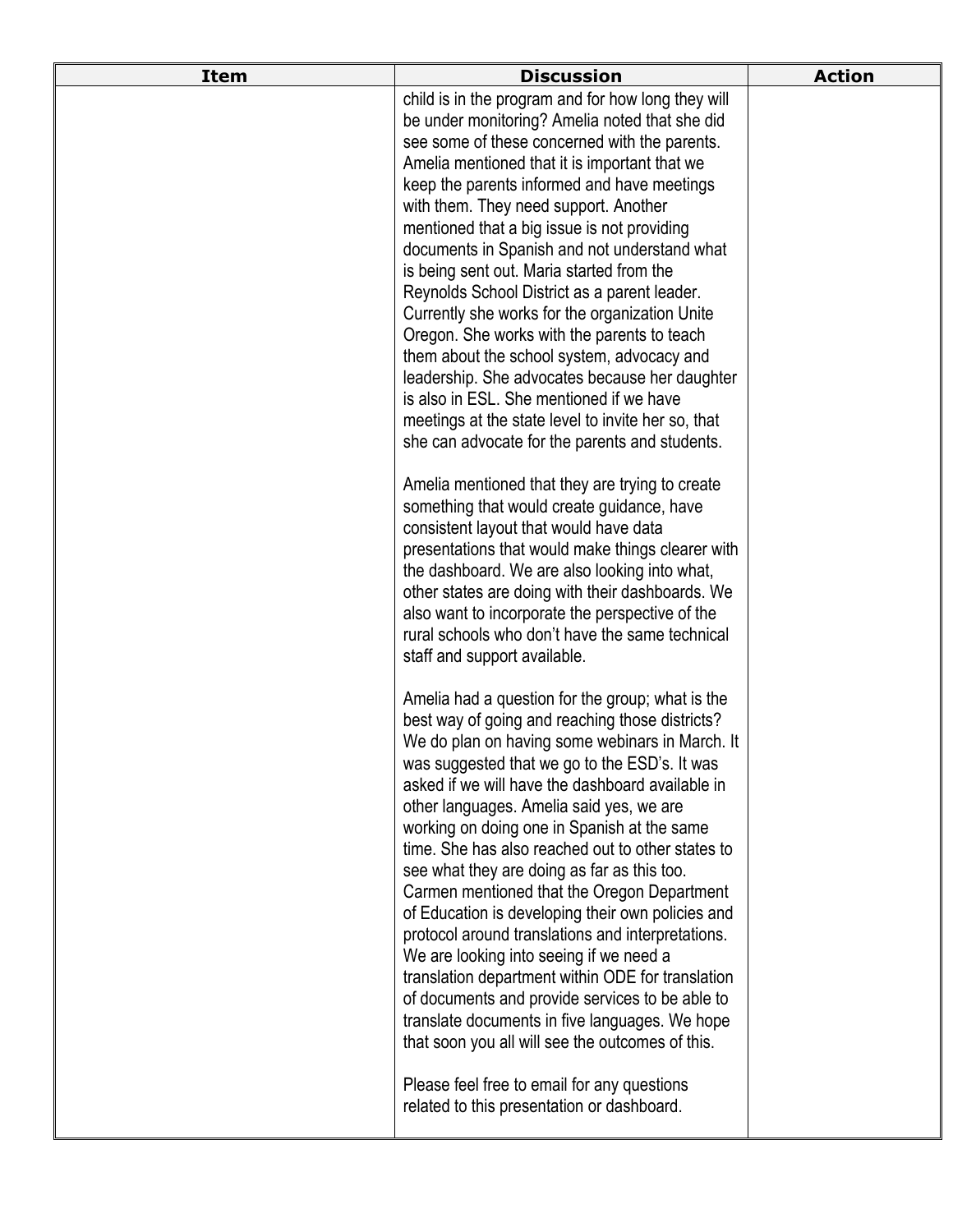| <b>Item</b> | <b>Discussion</b>                                                                                      | <b>Action</b> |
|-------------|--------------------------------------------------------------------------------------------------------|---------------|
|             | child is in the program and for how long they will                                                     |               |
|             | be under monitoring? Amelia noted that she did                                                         |               |
|             | see some of these concerned with the parents.<br>Amelia mentioned that it is important that we         |               |
|             | keep the parents informed and have meetings                                                            |               |
|             | with them. They need support. Another                                                                  |               |
|             | mentioned that a big issue is not providing                                                            |               |
|             | documents in Spanish and not understand what                                                           |               |
|             | is being sent out. Maria started from the                                                              |               |
|             | Reynolds School District as a parent leader.                                                           |               |
|             | Currently she works for the organization Unite                                                         |               |
|             | Oregon. She works with the parents to teach<br>them about the school system, advocacy and              |               |
|             | leadership. She advocates because her daughter                                                         |               |
|             | is also in ESL. She mentioned if we have                                                               |               |
|             | meetings at the state level to invite her so, that                                                     |               |
|             | she can advocate for the parents and students.                                                         |               |
|             | Amelia mentioned that they are trying to create                                                        |               |
|             | something that would create guidance, have                                                             |               |
|             | consistent layout that would have data                                                                 |               |
|             | presentations that would make things clearer with                                                      |               |
|             | the dashboard. We are also looking into what,                                                          |               |
|             | other states are doing with their dashboards. We                                                       |               |
|             | also want to incorporate the perspective of the<br>rural schools who don't have the same technical     |               |
|             | staff and support available.                                                                           |               |
|             |                                                                                                        |               |
|             | Amelia had a question for the group; what is the                                                       |               |
|             | best way of going and reaching those districts?                                                        |               |
|             | We do plan on having some webinars in March. It<br>was suggested that we go to the ESD's. It was       |               |
|             | asked if we will have the dashboard available in                                                       |               |
|             | other languages. Amelia said yes, we are                                                               |               |
|             | working on doing one in Spanish at the same                                                            |               |
|             | time. She has also reached out to other states to                                                      |               |
|             | see what they are doing as far as this too.                                                            |               |
|             | Carmen mentioned that the Oregon Department                                                            |               |
|             | of Education is developing their own policies and<br>protocol around translations and interpretations. |               |
|             | We are looking into seeing if we need a                                                                |               |
|             | translation department within ODE for translation                                                      |               |
|             | of documents and provide services to be able to                                                        |               |
|             | translate documents in five languages. We hope                                                         |               |
|             | that soon you all will see the outcomes of this.                                                       |               |
|             | Please feel free to email for any questions                                                            |               |
|             | related to this presentation or dashboard.                                                             |               |
|             |                                                                                                        |               |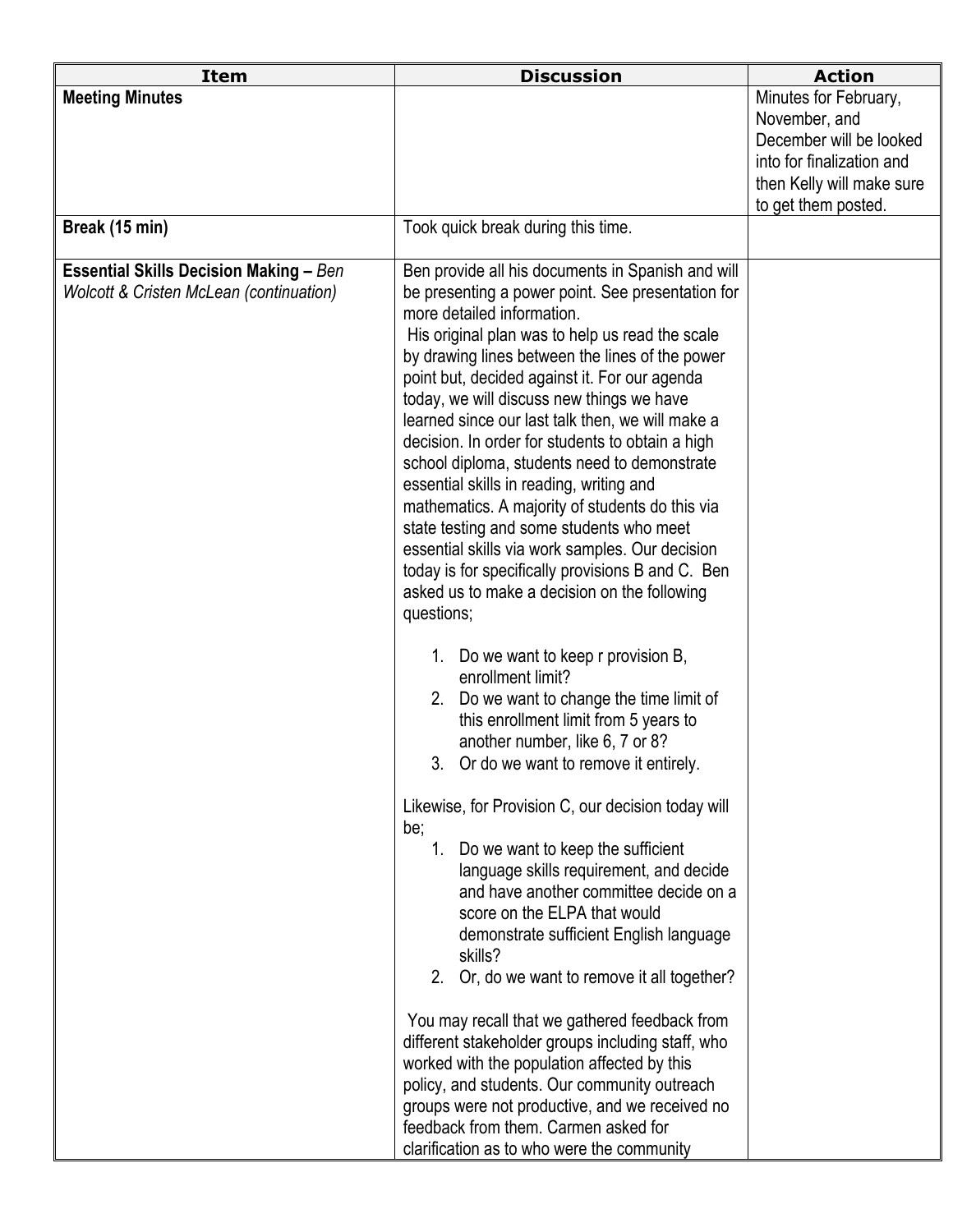| <b>Meeting Minutes</b>                                                                                     |                                                                                                                                                                                                                                                                                                                                                                                                                                                                                                                                                                                                                                                                                                                                                                                                                                                                                                                                                                                                                                                                                                                                                                                                                                                                                                                                                                                                                                                                                                                                                                                                                                                                                                                             | Minutes for February,                                                                                                     |
|------------------------------------------------------------------------------------------------------------|-----------------------------------------------------------------------------------------------------------------------------------------------------------------------------------------------------------------------------------------------------------------------------------------------------------------------------------------------------------------------------------------------------------------------------------------------------------------------------------------------------------------------------------------------------------------------------------------------------------------------------------------------------------------------------------------------------------------------------------------------------------------------------------------------------------------------------------------------------------------------------------------------------------------------------------------------------------------------------------------------------------------------------------------------------------------------------------------------------------------------------------------------------------------------------------------------------------------------------------------------------------------------------------------------------------------------------------------------------------------------------------------------------------------------------------------------------------------------------------------------------------------------------------------------------------------------------------------------------------------------------------------------------------------------------------------------------------------------------|---------------------------------------------------------------------------------------------------------------------------|
|                                                                                                            |                                                                                                                                                                                                                                                                                                                                                                                                                                                                                                                                                                                                                                                                                                                                                                                                                                                                                                                                                                                                                                                                                                                                                                                                                                                                                                                                                                                                                                                                                                                                                                                                                                                                                                                             | November, and<br>December will be looked<br>into for finalization and<br>then Kelly will make sure<br>to get them posted. |
| Break (15 min)                                                                                             | Took quick break during this time.                                                                                                                                                                                                                                                                                                                                                                                                                                                                                                                                                                                                                                                                                                                                                                                                                                                                                                                                                                                                                                                                                                                                                                                                                                                                                                                                                                                                                                                                                                                                                                                                                                                                                          |                                                                                                                           |
| <b>Essential Skills Decision Making - Ben</b><br><b>Wolcott &amp; Cristen McLean (continuation)</b><br>be; | Ben provide all his documents in Spanish and will<br>be presenting a power point. See presentation for<br>more detailed information.<br>His original plan was to help us read the scale<br>by drawing lines between the lines of the power<br>point but, decided against it. For our agenda<br>today, we will discuss new things we have<br>learned since our last talk then, we will make a<br>decision. In order for students to obtain a high<br>school diploma, students need to demonstrate<br>essential skills in reading, writing and<br>mathematics. A majority of students do this via<br>state testing and some students who meet<br>essential skills via work samples. Our decision<br>today is for specifically provisions B and C. Ben<br>asked us to make a decision on the following<br>questions;<br>1. Do we want to keep r provision B,<br>enrollment limit?<br>2. Do we want to change the time limit of<br>this enrollment limit from 5 years to<br>another number, like 6, 7 or 8?<br>3. Or do we want to remove it entirely.<br>Likewise, for Provision C, our decision today will<br>Do we want to keep the sufficient<br>1.<br>language skills requirement, and decide<br>and have another committee decide on a<br>score on the ELPA that would<br>demonstrate sufficient English language<br>skills?<br>2. Or, do we want to remove it all together?<br>You may recall that we gathered feedback from<br>different stakeholder groups including staff, who<br>worked with the population affected by this<br>policy, and students. Our community outreach<br>groups were not productive, and we received no<br>feedback from them. Carmen asked for<br>clarification as to who were the community |                                                                                                                           |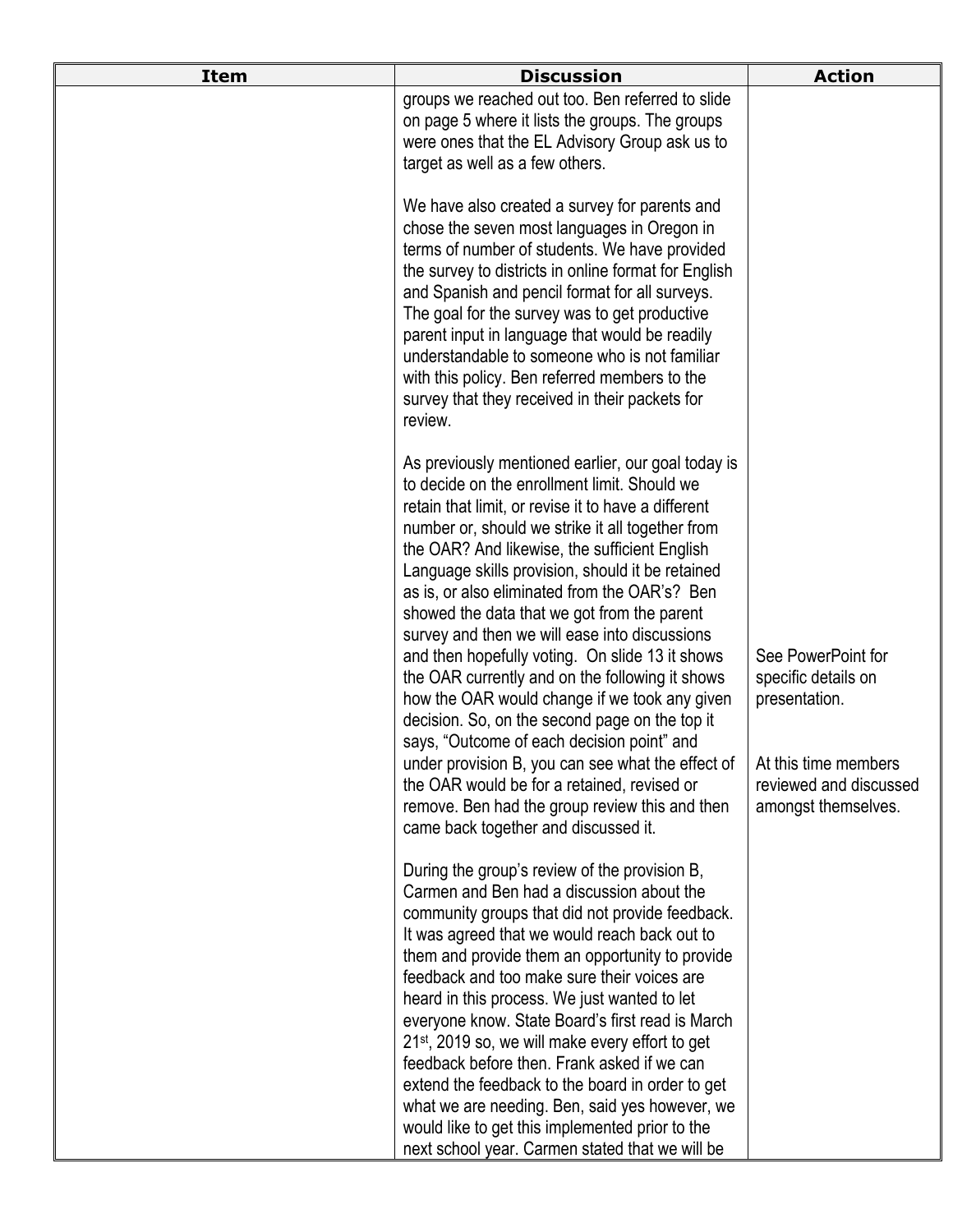| <b>Item</b> | <b>Discussion</b>                                                                                                                                                                                                                                                                                                                                                                                                                                                                                                                                                                                                                                                                                                                                                                                                                                                                                                        | <b>Action</b>                                                                                                                       |
|-------------|--------------------------------------------------------------------------------------------------------------------------------------------------------------------------------------------------------------------------------------------------------------------------------------------------------------------------------------------------------------------------------------------------------------------------------------------------------------------------------------------------------------------------------------------------------------------------------------------------------------------------------------------------------------------------------------------------------------------------------------------------------------------------------------------------------------------------------------------------------------------------------------------------------------------------|-------------------------------------------------------------------------------------------------------------------------------------|
|             | groups we reached out too. Ben referred to slide<br>on page 5 where it lists the groups. The groups<br>were ones that the EL Advisory Group ask us to<br>target as well as a few others.                                                                                                                                                                                                                                                                                                                                                                                                                                                                                                                                                                                                                                                                                                                                 |                                                                                                                                     |
|             | We have also created a survey for parents and<br>chose the seven most languages in Oregon in<br>terms of number of students. We have provided<br>the survey to districts in online format for English<br>and Spanish and pencil format for all surveys.<br>The goal for the survey was to get productive<br>parent input in language that would be readily<br>understandable to someone who is not familiar<br>with this policy. Ben referred members to the<br>survey that they received in their packets for<br>review.                                                                                                                                                                                                                                                                                                                                                                                                |                                                                                                                                     |
|             | As previously mentioned earlier, our goal today is<br>to decide on the enrollment limit. Should we<br>retain that limit, or revise it to have a different<br>number or, should we strike it all together from<br>the OAR? And likewise, the sufficient English<br>Language skills provision, should it be retained<br>as is, or also eliminated from the OAR's? Ben<br>showed the data that we got from the parent<br>survey and then we will ease into discussions<br>and then hopefully voting. On slide 13 it shows<br>the OAR currently and on the following it shows<br>how the OAR would change if we took any given<br>decision. So, on the second page on the top it<br>says, "Outcome of each decision point" and<br>under provision B, you can see what the effect of<br>the OAR would be for a retained, revised or<br>remove. Ben had the group review this and then<br>came back together and discussed it. | See PowerPoint for<br>specific details on<br>presentation.<br>At this time members<br>reviewed and discussed<br>amongst themselves. |
|             | During the group's review of the provision B,<br>Carmen and Ben had a discussion about the<br>community groups that did not provide feedback.<br>It was agreed that we would reach back out to<br>them and provide them an opportunity to provide<br>feedback and too make sure their voices are<br>heard in this process. We just wanted to let<br>everyone know. State Board's first read is March<br>21 <sup>st</sup> , 2019 so, we will make every effort to get<br>feedback before then. Frank asked if we can<br>extend the feedback to the board in order to get<br>what we are needing. Ben, said yes however, we<br>would like to get this implemented prior to the<br>next school year. Carmen stated that we will be                                                                                                                                                                                          |                                                                                                                                     |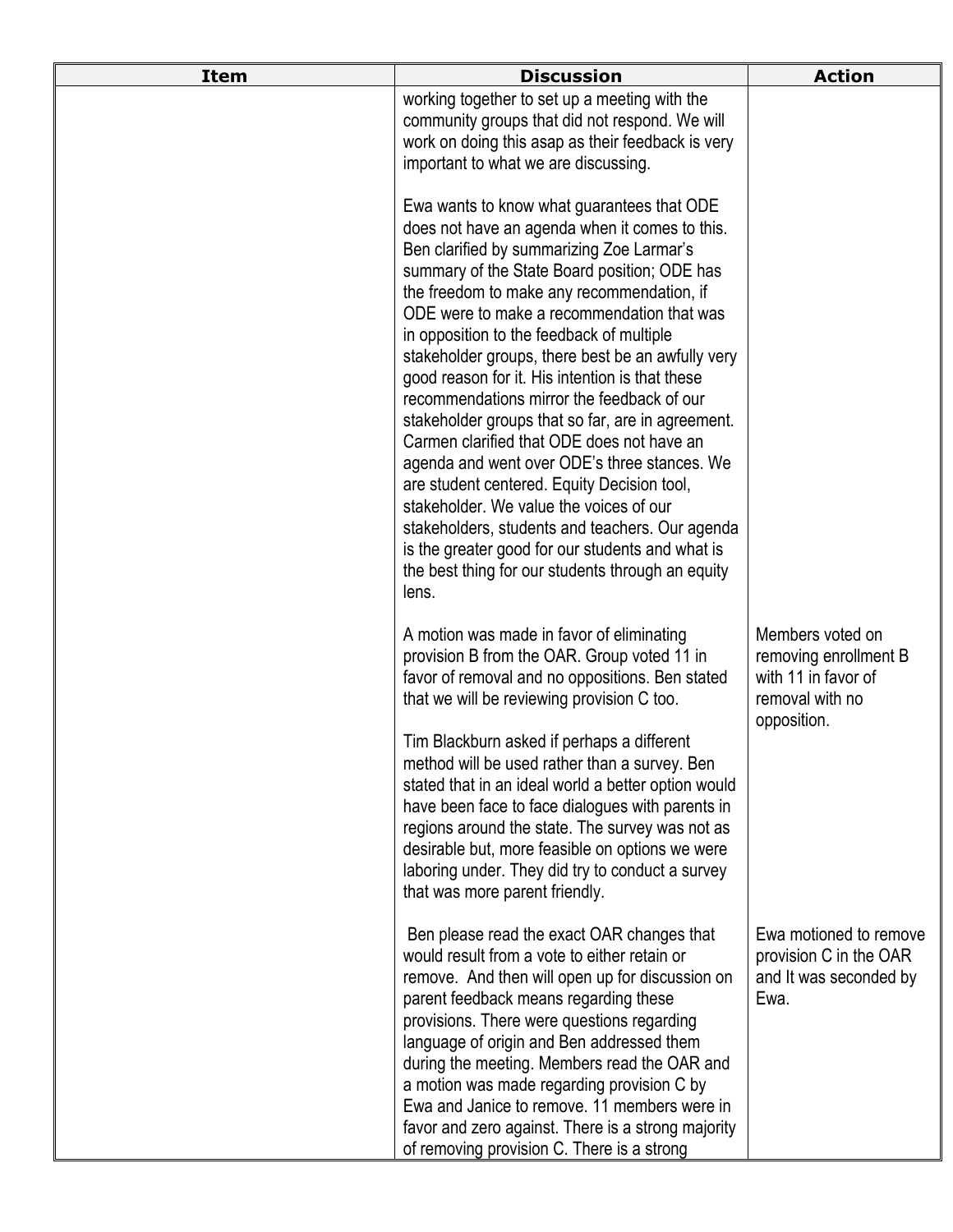| <b>Item</b> | <b>Discussion</b>                                                                                                                                                                                                                                                                                                                                                                                                                                                                                                                                                                                                                                                                                                                                                                                                                                                                                          | <b>Action</b>                                                                                      |
|-------------|------------------------------------------------------------------------------------------------------------------------------------------------------------------------------------------------------------------------------------------------------------------------------------------------------------------------------------------------------------------------------------------------------------------------------------------------------------------------------------------------------------------------------------------------------------------------------------------------------------------------------------------------------------------------------------------------------------------------------------------------------------------------------------------------------------------------------------------------------------------------------------------------------------|----------------------------------------------------------------------------------------------------|
|             | working together to set up a meeting with the<br>community groups that did not respond. We will<br>work on doing this asap as their feedback is very<br>important to what we are discussing.                                                                                                                                                                                                                                                                                                                                                                                                                                                                                                                                                                                                                                                                                                               |                                                                                                    |
|             | Ewa wants to know what guarantees that ODE<br>does not have an agenda when it comes to this.<br>Ben clarified by summarizing Zoe Larmar's<br>summary of the State Board position; ODE has<br>the freedom to make any recommendation, if<br>ODE were to make a recommendation that was<br>in opposition to the feedback of multiple<br>stakeholder groups, there best be an awfully very<br>good reason for it. His intention is that these<br>recommendations mirror the feedback of our<br>stakeholder groups that so far, are in agreement.<br>Carmen clarified that ODE does not have an<br>agenda and went over ODE's three stances. We<br>are student centered. Equity Decision tool,<br>stakeholder. We value the voices of our<br>stakeholders, students and teachers. Our agenda<br>is the greater good for our students and what is<br>the best thing for our students through an equity<br>lens. |                                                                                                    |
|             | A motion was made in favor of eliminating<br>provision B from the OAR. Group voted 11 in<br>favor of removal and no oppositions. Ben stated<br>that we will be reviewing provision C too.                                                                                                                                                                                                                                                                                                                                                                                                                                                                                                                                                                                                                                                                                                                  | Members voted on<br>removing enrollment B<br>with 11 in favor of<br>removal with no<br>opposition. |
|             | Tim Blackburn asked if perhaps a different<br>method will be used rather than a survey. Ben<br>stated that in an ideal world a better option would<br>have been face to face dialogues with parents in<br>regions around the state. The survey was not as<br>desirable but, more feasible on options we were<br>laboring under. They did try to conduct a survey<br>that was more parent friendly.                                                                                                                                                                                                                                                                                                                                                                                                                                                                                                         |                                                                                                    |
|             | Ben please read the exact OAR changes that<br>would result from a vote to either retain or<br>remove. And then will open up for discussion on<br>parent feedback means regarding these<br>provisions. There were questions regarding<br>language of origin and Ben addressed them<br>during the meeting. Members read the OAR and<br>a motion was made regarding provision C by<br>Ewa and Janice to remove. 11 members were in<br>favor and zero against. There is a strong majority<br>of removing provision C. There is a strong                                                                                                                                                                                                                                                                                                                                                                        | Ewa motioned to remove<br>provision C in the OAR<br>and It was seconded by<br>Ewa.                 |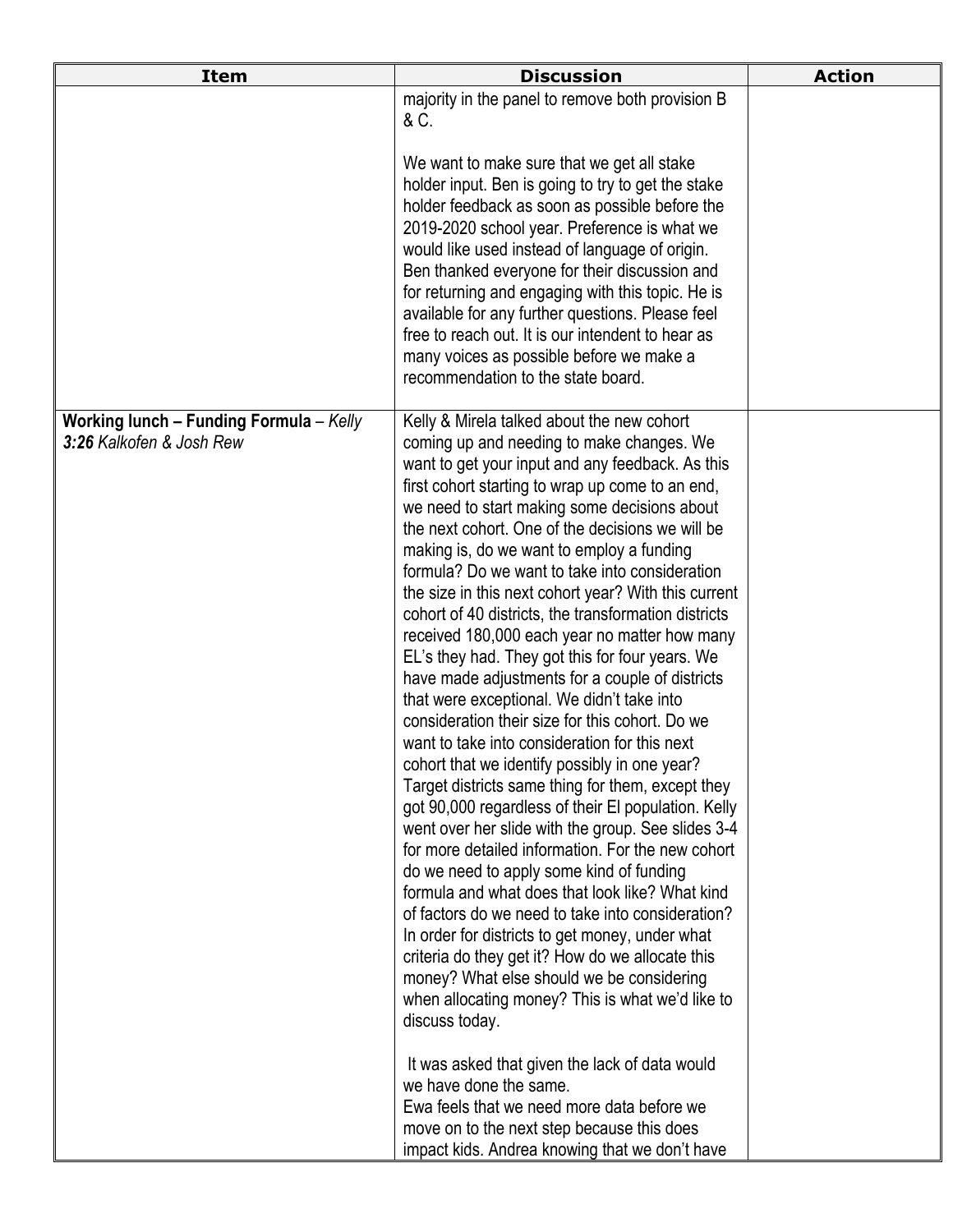| <b>Item</b>                                                                | <b>Discussion</b>                                                                                                                                                                                                                                                                                                                                                                                                                                                                                                                                                                                                                                                                                                                                                                                                                                                                                                                                                                                                                                                                                                                                                                                                                                                                                                                                                                                                                                                                                                                                                                                                                                                                                           | <b>Action</b> |
|----------------------------------------------------------------------------|-------------------------------------------------------------------------------------------------------------------------------------------------------------------------------------------------------------------------------------------------------------------------------------------------------------------------------------------------------------------------------------------------------------------------------------------------------------------------------------------------------------------------------------------------------------------------------------------------------------------------------------------------------------------------------------------------------------------------------------------------------------------------------------------------------------------------------------------------------------------------------------------------------------------------------------------------------------------------------------------------------------------------------------------------------------------------------------------------------------------------------------------------------------------------------------------------------------------------------------------------------------------------------------------------------------------------------------------------------------------------------------------------------------------------------------------------------------------------------------------------------------------------------------------------------------------------------------------------------------------------------------------------------------------------------------------------------------|---------------|
|                                                                            | majority in the panel to remove both provision B<br>& C.<br>We want to make sure that we get all stake<br>holder input. Ben is going to try to get the stake<br>holder feedback as soon as possible before the<br>2019-2020 school year. Preference is what we<br>would like used instead of language of origin.<br>Ben thanked everyone for their discussion and<br>for returning and engaging with this topic. He is<br>available for any further questions. Please feel<br>free to reach out. It is our intendent to hear as<br>many voices as possible before we make a<br>recommendation to the state board.                                                                                                                                                                                                                                                                                                                                                                                                                                                                                                                                                                                                                                                                                                                                                                                                                                                                                                                                                                                                                                                                                           |               |
| <b>Working lunch - Funding Formula - Kelly</b><br>3:26 Kalkofen & Josh Rew | Kelly & Mirela talked about the new cohort<br>coming up and needing to make changes. We<br>want to get your input and any feedback. As this<br>first cohort starting to wrap up come to an end,<br>we need to start making some decisions about<br>the next cohort. One of the decisions we will be<br>making is, do we want to employ a funding<br>formula? Do we want to take into consideration<br>the size in this next cohort year? With this current<br>cohort of 40 districts, the transformation districts<br>received 180,000 each year no matter how many<br>EL's they had. They got this for four years. We<br>have made adjustments for a couple of districts<br>that were exceptional. We didn't take into<br>consideration their size for this cohort. Do we<br>want to take into consideration for this next<br>cohort that we identify possibly in one year?<br>Target districts same thing for them, except they<br>got 90,000 regardless of their El population. Kelly<br>went over her slide with the group. See slides 3-4<br>for more detailed information. For the new cohort<br>do we need to apply some kind of funding<br>formula and what does that look like? What kind<br>of factors do we need to take into consideration?<br>In order for districts to get money, under what<br>criteria do they get it? How do we allocate this<br>money? What else should we be considering<br>when allocating money? This is what we'd like to<br>discuss today.<br>It was asked that given the lack of data would<br>we have done the same.<br>Ewa feels that we need more data before we<br>move on to the next step because this does<br>impact kids. Andrea knowing that we don't have |               |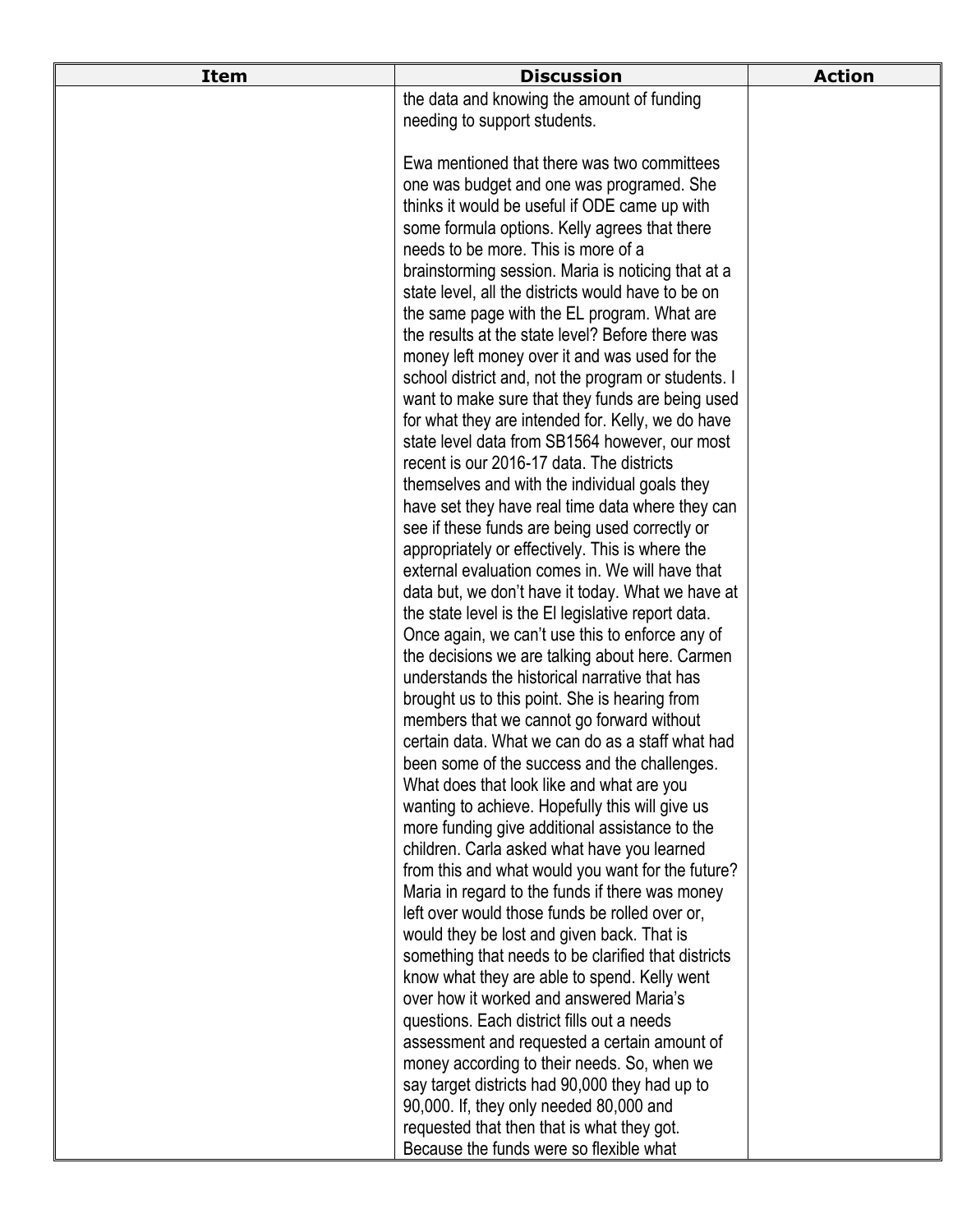| <b>Item</b> | <b>Discussion</b>                                                                                   | <b>Action</b> |
|-------------|-----------------------------------------------------------------------------------------------------|---------------|
|             | the data and knowing the amount of funding                                                          |               |
|             | needing to support students.                                                                        |               |
|             |                                                                                                     |               |
|             | Ewa mentioned that there was two committees                                                         |               |
|             | one was budget and one was programed. She                                                           |               |
|             | thinks it would be useful if ODE came up with                                                       |               |
|             | some formula options. Kelly agrees that there                                                       |               |
|             | needs to be more. This is more of a                                                                 |               |
|             | brainstorming session. Maria is noticing that at a                                                  |               |
|             | state level, all the districts would have to be on                                                  |               |
|             | the same page with the EL program. What are                                                         |               |
|             | the results at the state level? Before there was                                                    |               |
|             | money left money over it and was used for the                                                       |               |
|             | school district and, not the program or students. I                                                 |               |
|             | want to make sure that they funds are being used                                                    |               |
|             | for what they are intended for. Kelly, we do have<br>state level data from SB1564 however, our most |               |
|             | recent is our 2016-17 data. The districts                                                           |               |
|             | themselves and with the individual goals they                                                       |               |
|             | have set they have real time data where they can                                                    |               |
|             | see if these funds are being used correctly or                                                      |               |
|             | appropriately or effectively. This is where the                                                     |               |
|             | external evaluation comes in. We will have that                                                     |               |
|             | data but, we don't have it today. What we have at                                                   |               |
|             | the state level is the El legislative report data.                                                  |               |
|             | Once again, we can't use this to enforce any of                                                     |               |
|             | the decisions we are talking about here. Carmen                                                     |               |
|             | understands the historical narrative that has                                                       |               |
|             | brought us to this point. She is hearing from                                                       |               |
|             | members that we cannot go forward without                                                           |               |
|             | certain data. What we can do as a staff what had                                                    |               |
|             | been some of the success and the challenges.                                                        |               |
|             | What does that look like and what are you                                                           |               |
|             | wanting to achieve. Hopefully this will give us                                                     |               |
|             | more funding give additional assistance to the                                                      |               |
|             | children. Carla asked what have you learned                                                         |               |
|             | from this and what would you want for the future?                                                   |               |
|             | Maria in regard to the funds if there was money                                                     |               |
|             | left over would those funds be rolled over or,                                                      |               |
|             | would they be lost and given back. That is<br>something that needs to be clarified that districts   |               |
|             | know what they are able to spend. Kelly went                                                        |               |
|             | over how it worked and answered Maria's                                                             |               |
|             | questions. Each district fills out a needs                                                          |               |
|             | assessment and requested a certain amount of                                                        |               |
|             | money according to their needs. So, when we                                                         |               |
|             | say target districts had 90,000 they had up to                                                      |               |
|             | 90,000. If, they only needed 80,000 and                                                             |               |
|             | requested that then that is what they got.                                                          |               |
|             | Because the funds were so flexible what                                                             |               |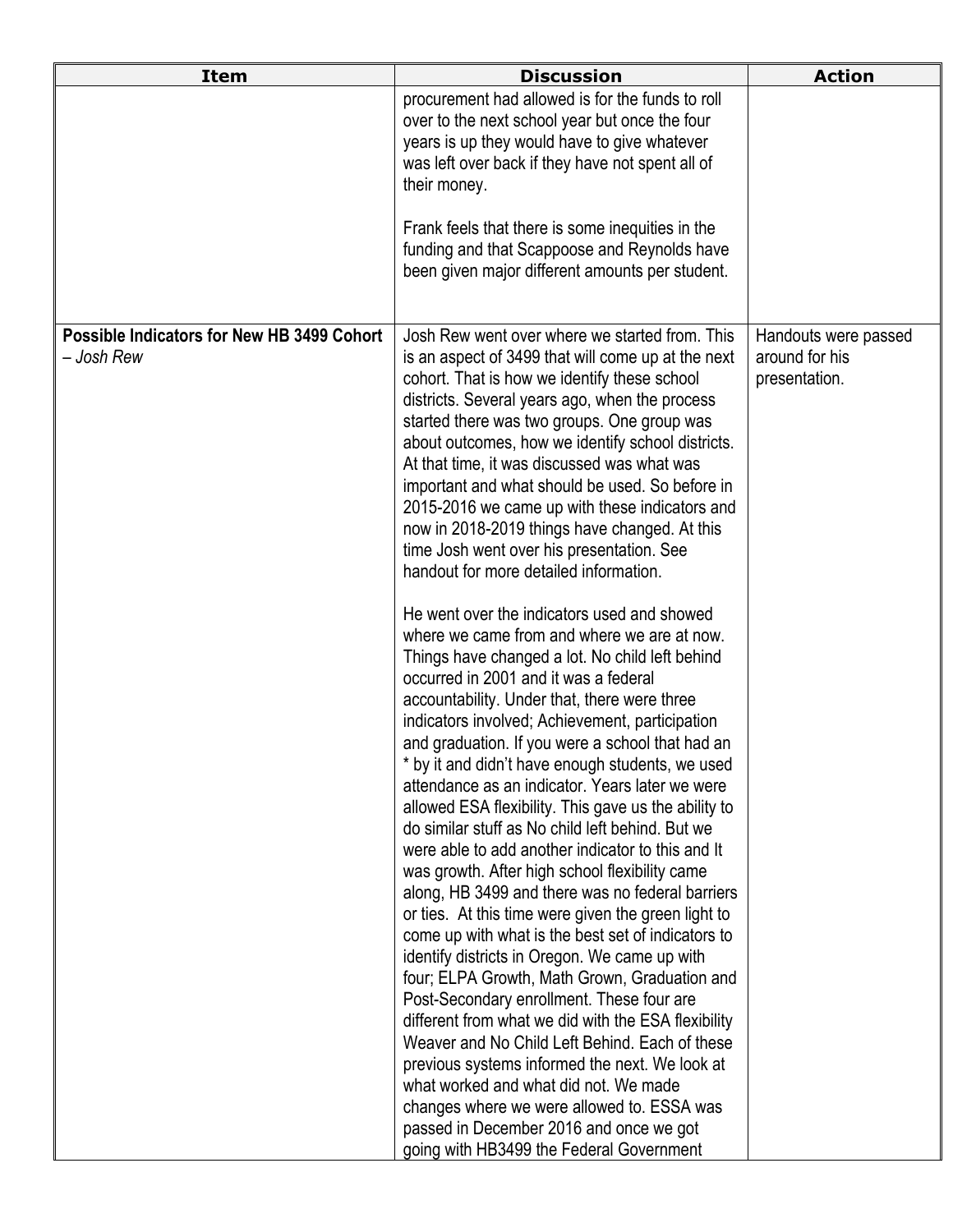| <b>Item</b>                                              | <b>Discussion</b>                                                                                                                                                                                                                                                                                                                                                                                                                                                                                                                                                                                                                                                                                                                                                                                                                                                                                                                                                                                                                                                                                                                                                                                                                                                                                                                                                                                                                                                                                                                                                                                                                                                                                                                                                                                                                                   | <b>Action</b>                                           |
|----------------------------------------------------------|-----------------------------------------------------------------------------------------------------------------------------------------------------------------------------------------------------------------------------------------------------------------------------------------------------------------------------------------------------------------------------------------------------------------------------------------------------------------------------------------------------------------------------------------------------------------------------------------------------------------------------------------------------------------------------------------------------------------------------------------------------------------------------------------------------------------------------------------------------------------------------------------------------------------------------------------------------------------------------------------------------------------------------------------------------------------------------------------------------------------------------------------------------------------------------------------------------------------------------------------------------------------------------------------------------------------------------------------------------------------------------------------------------------------------------------------------------------------------------------------------------------------------------------------------------------------------------------------------------------------------------------------------------------------------------------------------------------------------------------------------------------------------------------------------------------------------------------------------------|---------------------------------------------------------|
|                                                          | procurement had allowed is for the funds to roll<br>over to the next school year but once the four<br>years is up they would have to give whatever<br>was left over back if they have not spent all of<br>their money.                                                                                                                                                                                                                                                                                                                                                                                                                                                                                                                                                                                                                                                                                                                                                                                                                                                                                                                                                                                                                                                                                                                                                                                                                                                                                                                                                                                                                                                                                                                                                                                                                              |                                                         |
|                                                          | Frank feels that there is some inequities in the<br>funding and that Scappoose and Reynolds have<br>been given major different amounts per student.                                                                                                                                                                                                                                                                                                                                                                                                                                                                                                                                                                                                                                                                                                                                                                                                                                                                                                                                                                                                                                                                                                                                                                                                                                                                                                                                                                                                                                                                                                                                                                                                                                                                                                 |                                                         |
| Possible Indicators for New HB 3499 Cohort<br>– Josh Rew | Josh Rew went over where we started from. This<br>is an aspect of 3499 that will come up at the next<br>cohort. That is how we identify these school<br>districts. Several years ago, when the process<br>started there was two groups. One group was<br>about outcomes, how we identify school districts.<br>At that time, it was discussed was what was<br>important and what should be used. So before in<br>2015-2016 we came up with these indicators and<br>now in 2018-2019 things have changed. At this<br>time Josh went over his presentation. See<br>handout for more detailed information.<br>He went over the indicators used and showed<br>where we came from and where we are at now.<br>Things have changed a lot. No child left behind<br>occurred in 2001 and it was a federal<br>accountability. Under that, there were three<br>indicators involved; Achievement, participation<br>and graduation. If you were a school that had an<br>* by it and didn't have enough students, we used<br>attendance as an indicator. Years later we were<br>allowed ESA flexibility. This gave us the ability to<br>do similar stuff as No child left behind. But we<br>were able to add another indicator to this and It<br>was growth. After high school flexibility came<br>along, HB 3499 and there was no federal barriers<br>or ties. At this time were given the green light to<br>come up with what is the best set of indicators to<br>identify districts in Oregon. We came up with<br>four; ELPA Growth, Math Grown, Graduation and<br>Post-Secondary enrollment. These four are<br>different from what we did with the ESA flexibility<br>Weaver and No Child Left Behind. Each of these<br>previous systems informed the next. We look at<br>what worked and what did not. We made<br>changes where we were allowed to. ESSA was | Handouts were passed<br>around for his<br>presentation. |
|                                                          | passed in December 2016 and once we got<br>going with HB3499 the Federal Government                                                                                                                                                                                                                                                                                                                                                                                                                                                                                                                                                                                                                                                                                                                                                                                                                                                                                                                                                                                                                                                                                                                                                                                                                                                                                                                                                                                                                                                                                                                                                                                                                                                                                                                                                                 |                                                         |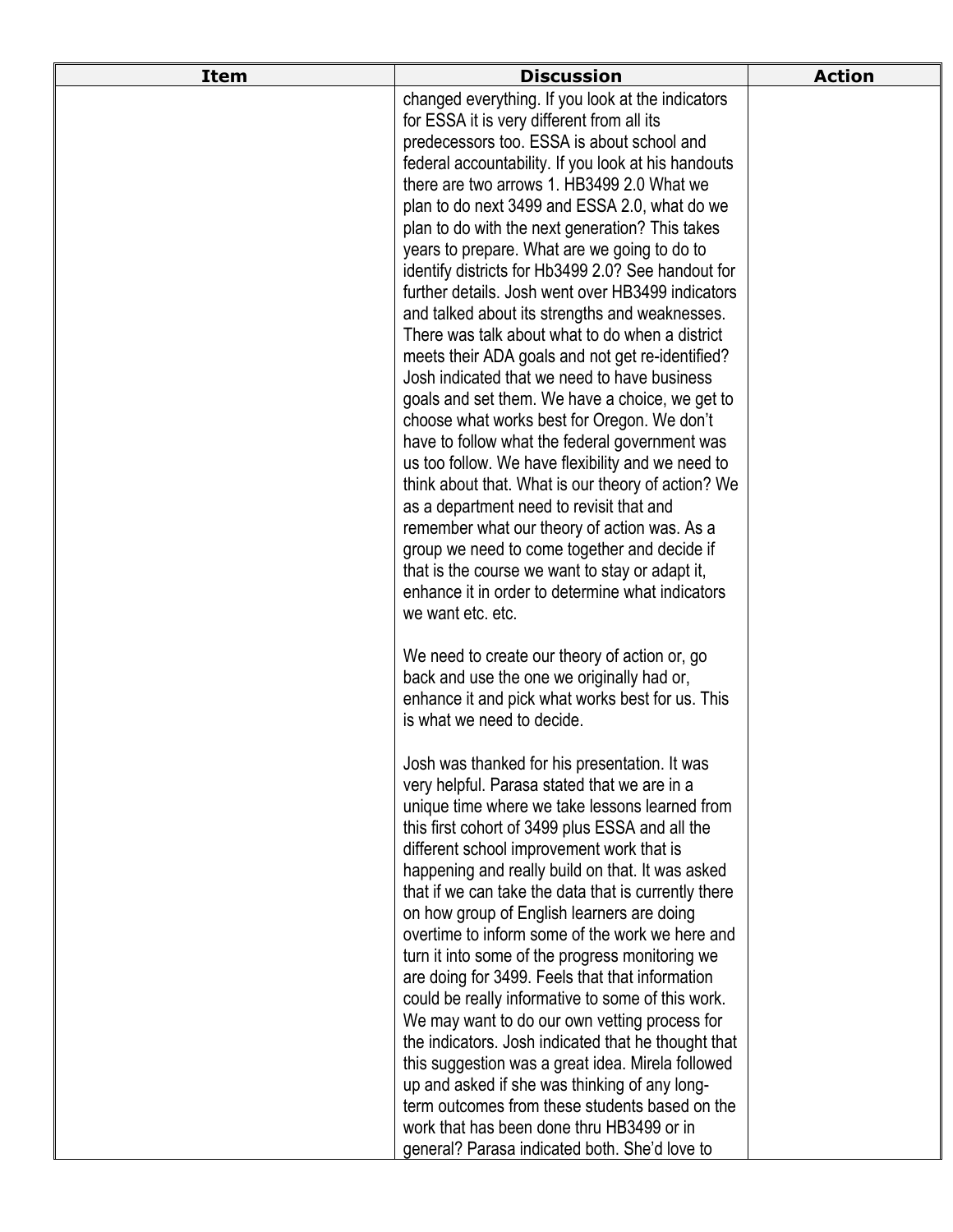| <b>Item</b> | <b>Discussion</b>                                                                                  | <b>Action</b> |
|-------------|----------------------------------------------------------------------------------------------------|---------------|
|             | changed everything. If you look at the indicators                                                  |               |
|             | for ESSA it is very different from all its                                                         |               |
|             | predecessors too. ESSA is about school and                                                         |               |
|             | federal accountability. If you look at his handouts                                                |               |
|             | there are two arrows 1. HB3499 2.0 What we                                                         |               |
|             | plan to do next 3499 and ESSA 2.0, what do we                                                      |               |
|             | plan to do with the next generation? This takes                                                    |               |
|             | years to prepare. What are we going to do to                                                       |               |
|             | identify districts for Hb3499 2.0? See handout for                                                 |               |
|             | further details. Josh went over HB3499 indicators                                                  |               |
|             | and talked about its strengths and weaknesses.<br>There was talk about what to do when a district  |               |
|             | meets their ADA goals and not get re-identified?                                                   |               |
|             | Josh indicated that we need to have business                                                       |               |
|             | goals and set them. We have a choice, we get to                                                    |               |
|             | choose what works best for Oregon. We don't                                                        |               |
|             | have to follow what the federal government was                                                     |               |
|             | us too follow. We have flexibility and we need to                                                  |               |
|             | think about that. What is our theory of action? We                                                 |               |
|             | as a department need to revisit that and                                                           |               |
|             | remember what our theory of action was. As a                                                       |               |
|             | group we need to come together and decide if                                                       |               |
|             | that is the course we want to stay or adapt it,                                                    |               |
|             | enhance it in order to determine what indicators                                                   |               |
|             | we want etc. etc.                                                                                  |               |
|             | We need to create our theory of action or, go                                                      |               |
|             | back and use the one we originally had or,                                                         |               |
|             | enhance it and pick what works best for us. This                                                   |               |
|             | is what we need to decide.                                                                         |               |
|             | Josh was thanked for his presentation. It was                                                      |               |
|             | very helpful. Parasa stated that we are in a                                                       |               |
|             | unique time where we take lessons learned from                                                     |               |
|             | this first cohort of 3499 plus ESSA and all the                                                    |               |
|             | different school improvement work that is                                                          |               |
|             | happening and really build on that. It was asked                                                   |               |
|             | that if we can take the data that is currently there                                               |               |
|             | on how group of English learners are doing                                                         |               |
|             | overtime to inform some of the work we here and                                                    |               |
|             | turn it into some of the progress monitoring we                                                    |               |
|             | are doing for 3499. Feels that that information                                                    |               |
|             | could be really informative to some of this work.<br>We may want to do our own vetting process for |               |
|             | the indicators. Josh indicated that he thought that                                                |               |
|             | this suggestion was a great idea. Mirela followed                                                  |               |
|             | up and asked if she was thinking of any long-                                                      |               |
|             | term outcomes from these students based on the                                                     |               |
|             | work that has been done thru HB3499 or in                                                          |               |
|             | general? Parasa indicated both. She'd love to                                                      |               |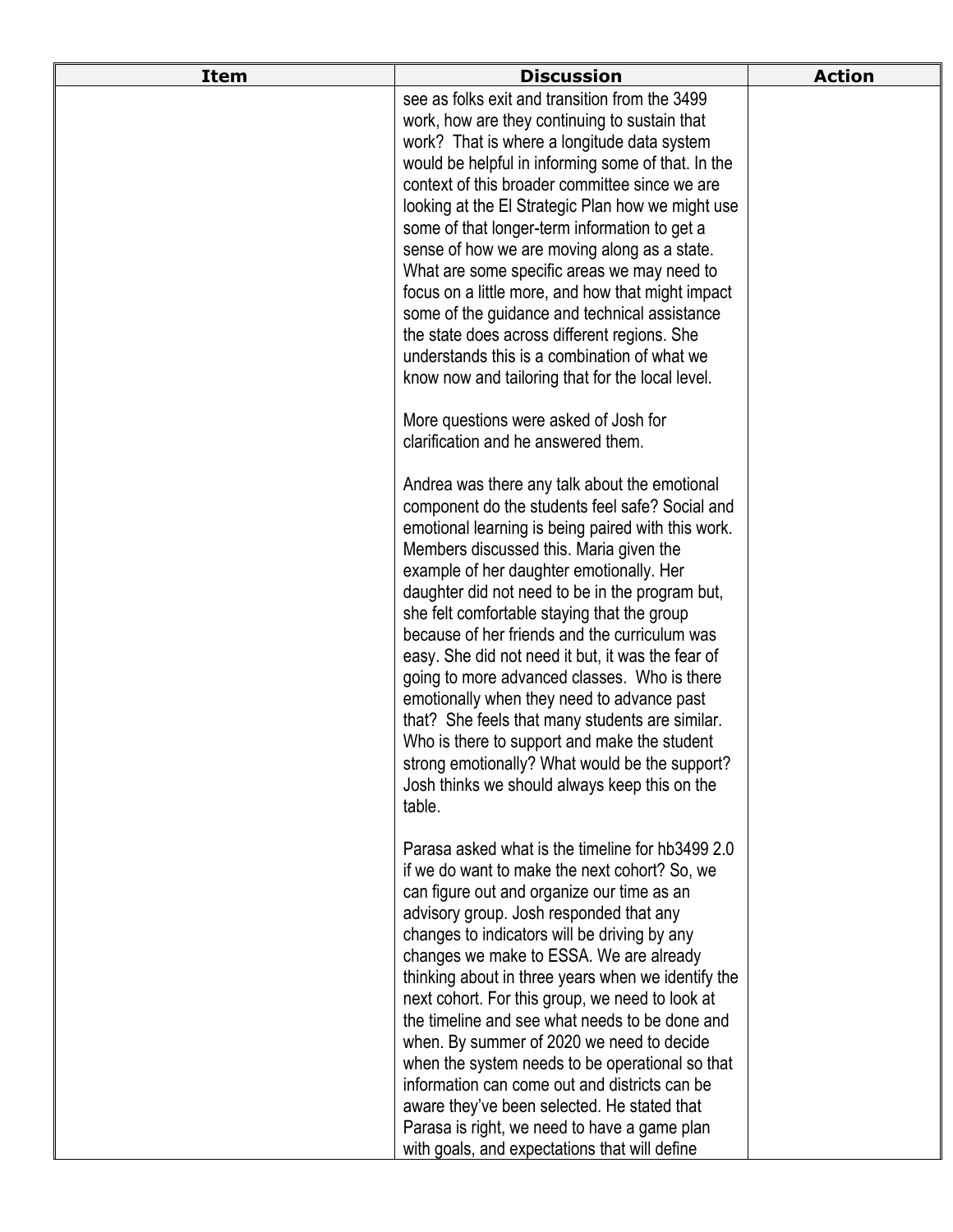| <b>Item</b> | <b>Discussion</b>                                                                                  | <b>Action</b> |
|-------------|----------------------------------------------------------------------------------------------------|---------------|
|             | see as folks exit and transition from the 3499                                                     |               |
|             | work, how are they continuing to sustain that                                                      |               |
|             | work? That is where a longitude data system                                                        |               |
|             | would be helpful in informing some of that. In the                                                 |               |
|             | context of this broader committee since we are                                                     |               |
|             | looking at the El Strategic Plan how we might use<br>some of that longer-term information to get a |               |
|             | sense of how we are moving along as a state.                                                       |               |
|             | What are some specific areas we may need to                                                        |               |
|             | focus on a little more, and how that might impact                                                  |               |
|             | some of the guidance and technical assistance                                                      |               |
|             | the state does across different regions. She                                                       |               |
|             | understands this is a combination of what we                                                       |               |
|             | know now and tailoring that for the local level.                                                   |               |
|             | More questions were asked of Josh for                                                              |               |
|             | clarification and he answered them.                                                                |               |
|             | Andrea was there any talk about the emotional                                                      |               |
|             | component do the students feel safe? Social and                                                    |               |
|             | emotional learning is being paired with this work.                                                 |               |
|             | Members discussed this. Maria given the                                                            |               |
|             | example of her daughter emotionally. Her                                                           |               |
|             | daughter did not need to be in the program but,                                                    |               |
|             | she felt comfortable staying that the group<br>because of her friends and the curriculum was       |               |
|             | easy. She did not need it but, it was the fear of                                                  |               |
|             | going to more advanced classes. Who is there                                                       |               |
|             | emotionally when they need to advance past                                                         |               |
|             | that? She feels that many students are similar.                                                    |               |
|             | Who is there to support and make the student                                                       |               |
|             | strong emotionally? What would be the support?                                                     |               |
|             | Josh thinks we should always keep this on the                                                      |               |
|             | table.                                                                                             |               |
|             | Parasa asked what is the timeline for hb3499 2.0                                                   |               |
|             | if we do want to make the next cohort? So, we                                                      |               |
|             | can figure out and organize our time as an                                                         |               |
|             | advisory group. Josh responded that any<br>changes to indicators will be driving by any            |               |
|             | changes we make to ESSA. We are already                                                            |               |
|             | thinking about in three years when we identify the                                                 |               |
|             | next cohort. For this group, we need to look at                                                    |               |
|             | the timeline and see what needs to be done and                                                     |               |
|             | when. By summer of 2020 we need to decide                                                          |               |
|             | when the system needs to be operational so that                                                    |               |
|             | information can come out and districts can be                                                      |               |
|             | aware they've been selected. He stated that                                                        |               |
|             | Parasa is right, we need to have a game plan                                                       |               |
|             | with goals, and expectations that will define                                                      |               |